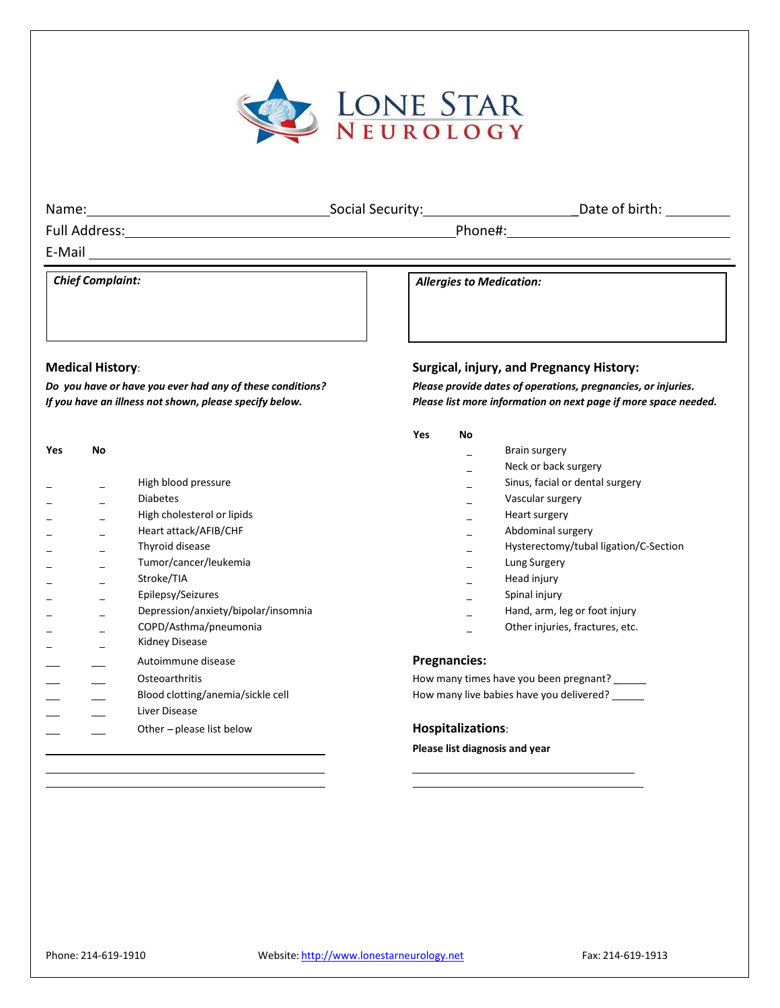

| Name:                   | Social Security:                | Date of birth: |
|-------------------------|---------------------------------|----------------|
| Full Address:           | Phone#:                         |                |
| E-Mail                  |                                 |                |
| <b>Chief Complaint:</b> | <b>Allergies to Medication:</b> |                |
|                         |                                 |                |
|                         |                                 |                |

| Yes | No |                                     |   |
|-----|----|-------------------------------------|---|
|     |    | High blood pressure                 |   |
|     |    | <b>Diabetes</b>                     |   |
|     |    | High cholesterol or lipids          |   |
|     |    | Heart attack/AFIB/CHF               |   |
|     |    | Thyroid disease                     |   |
|     |    | Tumor/cancer/leukemia               |   |
|     |    | Stroke/TIA                          |   |
|     |    | Epilepsy/Seizures                   |   |
|     |    | Depression/anxiety/bipolar/insomnia |   |
|     |    | COPD/Asthma/pneumonia               |   |
|     |    | Kidney Disease                      |   |
|     |    | Autoimmune disease                  | P |
|     |    |                                     |   |
|     |    | Osteoarthritis                      | Н |
|     |    | Blood clotting/anemia/sickle cell   | н |
|     |    | Liver Disease                       |   |
|     |    | Other - please list below           | н |
|     |    |                                     | P |
|     |    |                                     |   |

#### **Medical History**: **Surgical, injury, and Pregnancy History:**

Do you have or have you ever had any of these conditions?<br>Please provide dates of operations, pregnancies, or injuries. If you have an illness not shown, please specify below. The Please list more information on next page if more space needed.

#### **Yes No**

- **Algery** Brain surgery
- Neck or back surgery
- $\overline{\phantom{a}}$  Sinus, facial or dental surgery
- \_ Vascular surgery
- \_ Heart surgery
- $\blacksquare$  Abdominal surgery
- $\overline{\phantom{a}}$  Hysterectomy/tubal ligation/C-Section
- Lung Surgery
- $\overline{\phantom{a}}$  Head injury
- **E**<br>Spinal injury
- $\blacksquare$  Hand, arm, leg or foot injury
- Other injuries, fractures, etc.

### **Pregnancies:**

low many times have you been pregnant? \_\_\_\_\_\_ low many live babies have you delivered? \_\_\_\_\_\_

### **lospitalizations:**

#### **Please list diagnosis and year**

\_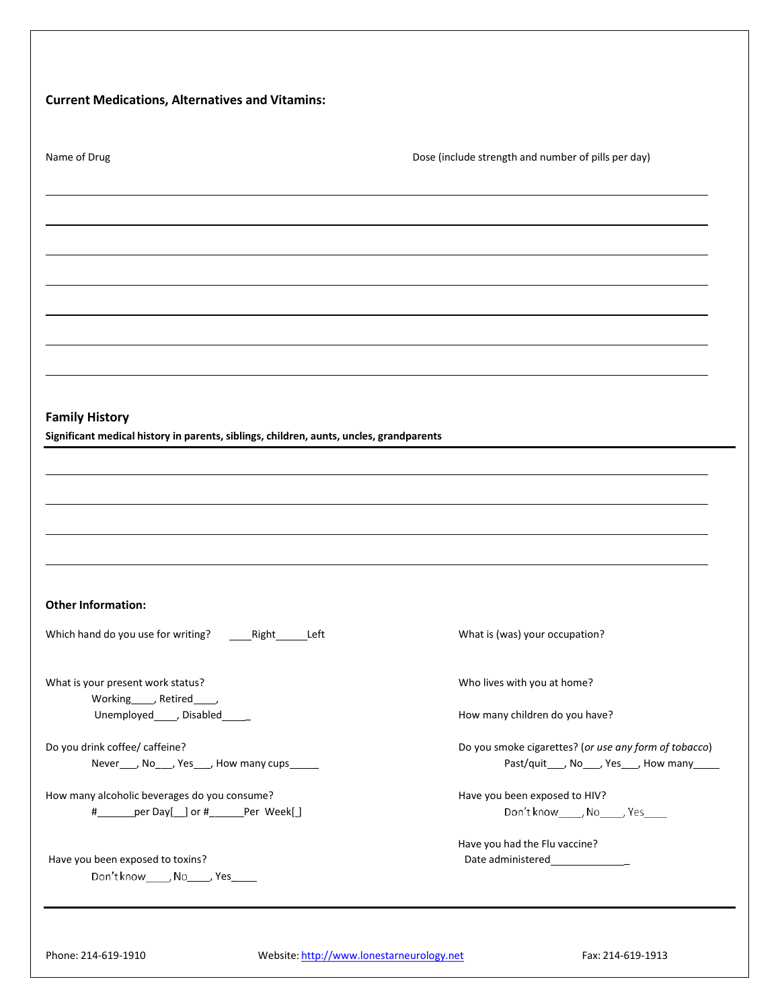| Name of Drug                                                                                                                                                                                                               | Dose (include strength and number of pills per day)                                                    |
|----------------------------------------------------------------------------------------------------------------------------------------------------------------------------------------------------------------------------|--------------------------------------------------------------------------------------------------------|
|                                                                                                                                                                                                                            |                                                                                                        |
|                                                                                                                                                                                                                            |                                                                                                        |
|                                                                                                                                                                                                                            |                                                                                                        |
|                                                                                                                                                                                                                            |                                                                                                        |
|                                                                                                                                                                                                                            |                                                                                                        |
|                                                                                                                                                                                                                            |                                                                                                        |
|                                                                                                                                                                                                                            |                                                                                                        |
| <b>Family History</b><br>Significant medical history in parents, siblings, children, aunts, uncles, grandparents                                                                                                           |                                                                                                        |
|                                                                                                                                                                                                                            |                                                                                                        |
|                                                                                                                                                                                                                            |                                                                                                        |
|                                                                                                                                                                                                                            |                                                                                                        |
|                                                                                                                                                                                                                            |                                                                                                        |
|                                                                                                                                                                                                                            |                                                                                                        |
|                                                                                                                                                                                                                            |                                                                                                        |
|                                                                                                                                                                                                                            |                                                                                                        |
| Right<br>Left                                                                                                                                                                                                              | What is (was) your occupation?                                                                         |
|                                                                                                                                                                                                                            | Who lives with you at home?                                                                            |
| Working_____, Retired_____,<br>Unemployed______, Disabled______                                                                                                                                                            | How many children do you have?                                                                         |
| Never ____, No ____, Yes ____, How many cups ______                                                                                                                                                                        | Do you smoke cigarettes? (or use any form of tobacco)<br>Past/quit____, No____, Yes____, How many_____ |
|                                                                                                                                                                                                                            | Have you been exposed to HIV?                                                                          |
| # ______ per Day[ __] or # _______ Per Week[ ]                                                                                                                                                                             | Don't know_____, No_____, Yes____                                                                      |
| <b>Other Information:</b><br>Which hand do you use for writing?<br>What is your present work status?<br>Do you drink coffee/ caffeine?<br>How many alcoholic beverages do you consume?<br>Have you been exposed to toxins? | Have you had the Flu vaccine?                                                                          |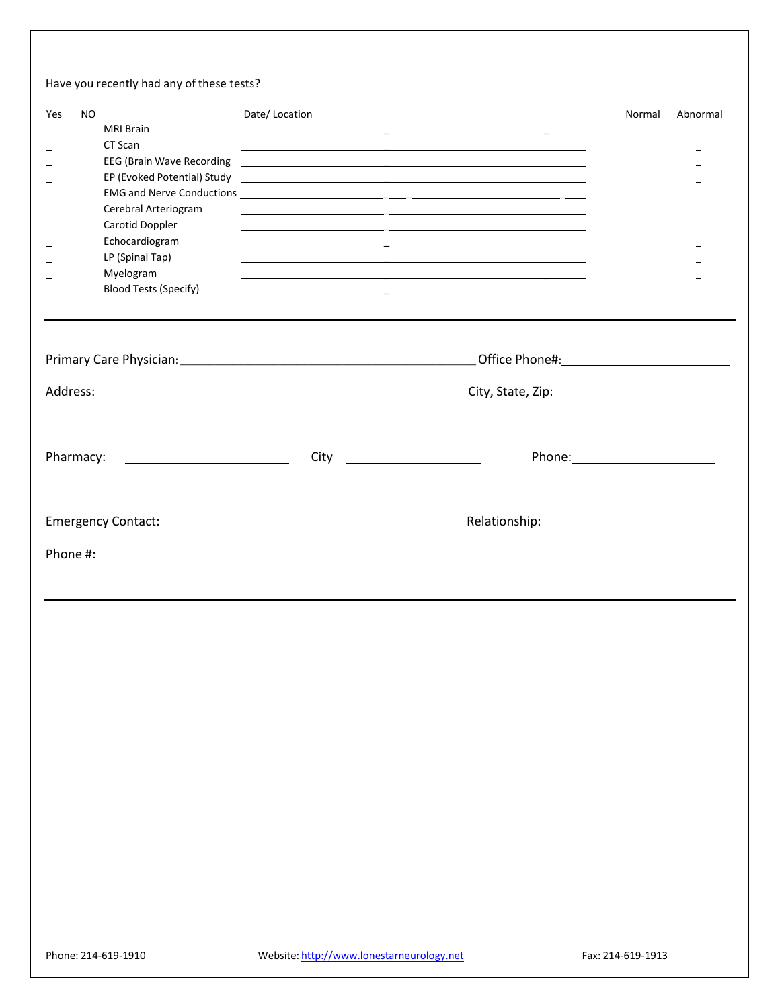## Have you recently had any of these tests?

| Yes | NO. | <b>MRI Brain</b><br>CT Scan<br>EEG (Brain Wave Recording<br>Cerebral Arteriogram<br>Carotid Doppler<br>Echocardiogram<br>LP (Spinal Tap)<br>Myelogram<br><b>Blood Tests (Specify)</b>                                         | Date/Location | <u> 1989 - Andrea Santa Alemania, prima alemaniar prima alemaniar alemaniar alemaniar prima alemaniar prima alem</u><br><u> 1990 - Jan James James James James James James James James James James James James James James James James J</u><br><u> Alexandria de la contrada de la contrada de la contrada de la contrada de la contrada de la contrada de la c</u><br><u> 1989 - Andrea Santa Alemania, poeta esperanto-se especial de la contrada de la contrada de la contrada de la</u><br><u> 1989 - Andrea Santa Alemania (h. 1989).</u><br><u> 1989 - Andrea Santa Alemania (h. 1989).</u><br><u> 1990 - Jan James James James James James James James James James James James James James James James James J</u><br><u> 1989 - Andrea San Aonaichte ann an Comhair ann an Chomhair ann an Chomhair ann an Chomhair ann an Chomhair an</u> | Normal            | Abnormal |
|-----|-----|-------------------------------------------------------------------------------------------------------------------------------------------------------------------------------------------------------------------------------|---------------|-----------------------------------------------------------------------------------------------------------------------------------------------------------------------------------------------------------------------------------------------------------------------------------------------------------------------------------------------------------------------------------------------------------------------------------------------------------------------------------------------------------------------------------------------------------------------------------------------------------------------------------------------------------------------------------------------------------------------------------------------------------------------------------------------------------------------------------------------------|-------------------|----------|
|     |     |                                                                                                                                                                                                                               |               | Address: City, State, Zip: City, State, Zip: 2008. [1] Address: City, State, Zip: 2008. [2] Address:                                                                                                                                                                                                                                                                                                                                                                                                                                                                                                                                                                                                                                                                                                                                                |                   |          |
|     |     | Pharmacy: The contract of the contract of the contract of the contract of the contract of the contract of the contract of the contract of the contract of the contract of the contract of the contract of the contract of the |               | $City \begin{array}{ccc} \hline \end{array}$                                                                                                                                                                                                                                                                                                                                                                                                                                                                                                                                                                                                                                                                                                                                                                                                        | Phone: Note: 2008 |          |
|     |     |                                                                                                                                                                                                                               |               | Relationship: Manual Manual Manual Manual Manual Manual Manual Manual Manual Manual Manual Manual Manual Manua                                                                                                                                                                                                                                                                                                                                                                                                                                                                                                                                                                                                                                                                                                                                      |                   |          |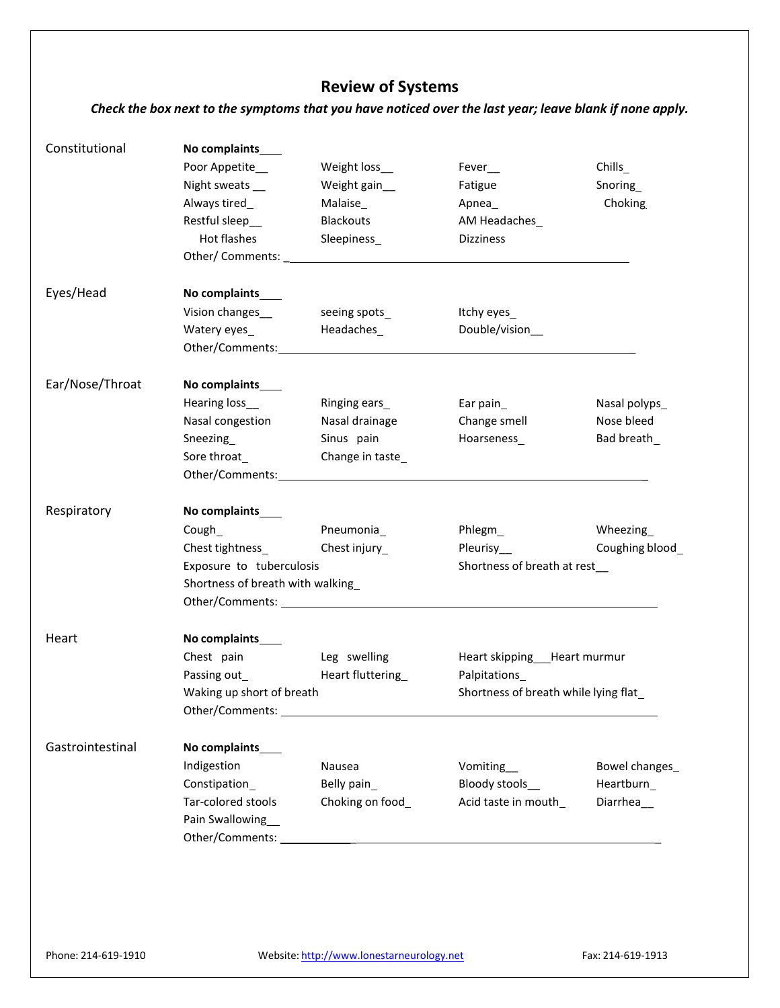# **Review of Systems**

## Check the box next to the symptoms that you have noticed over the last year; leave blank if none apply.

| Constitutional   | No complaints____                |                                                                                                                |                                                                                                                                                                                                                               |                 |
|------------------|----------------------------------|----------------------------------------------------------------------------------------------------------------|-------------------------------------------------------------------------------------------------------------------------------------------------------------------------------------------------------------------------------|-----------------|
|                  | Poor Appetite_                   | Weight loss_                                                                                                   | $Fever$ <sub>__</sub>                                                                                                                                                                                                         | Chills_         |
|                  | Night sweats __                  | Weight gain_                                                                                                   | Fatigue                                                                                                                                                                                                                       | Snoring_        |
|                  | Always tired_                    | Malaise_                                                                                                       | Apnea_                                                                                                                                                                                                                        | Choking         |
|                  | Restful sleep__                  | Blackouts                                                                                                      | AM Headaches_                                                                                                                                                                                                                 |                 |
|                  | Hot flashes                      | Sleepiness_                                                                                                    | <b>Dizziness</b>                                                                                                                                                                                                              |                 |
|                  |                                  | Other/Comments: 2008 2012 2022 2023 2024 2022 2022 2023 2024 2022 2023 2024 2022 2023 2024 2022 2023 2024 2022 |                                                                                                                                                                                                                               |                 |
| Eyes/Head        | No complaints____                |                                                                                                                |                                                                                                                                                                                                                               |                 |
|                  | Vision changes_                  | seeing spots                                                                                                   | Itchy eyes_                                                                                                                                                                                                                   |                 |
|                  |                                  |                                                                                                                | Double/vision_                                                                                                                                                                                                                |                 |
|                  |                                  |                                                                                                                |                                                                                                                                                                                                                               |                 |
|                  |                                  |                                                                                                                |                                                                                                                                                                                                                               |                 |
| Ear/Nose/Throat  | No complaints____                |                                                                                                                |                                                                                                                                                                                                                               |                 |
|                  | Hearing loss_                    | Ringing ears                                                                                                   | Ear pain $_{-}$                                                                                                                                                                                                               | Nasal polyps_   |
|                  | Nasal congestion                 | Nasal drainage                                                                                                 | Change smell                                                                                                                                                                                                                  | Nose bleed      |
|                  | Sneezing_                        | Sinus pain                                                                                                     | Hoarseness_                                                                                                                                                                                                                   | Bad breath_     |
|                  | Sore throat_                     | Change in taste_                                                                                               |                                                                                                                                                                                                                               |                 |
|                  |                                  | Other/Comments: National Accounts: National Accounts: National Accounts: National Accounts: National Accounts: |                                                                                                                                                                                                                               |                 |
| Respiratory      | No complaints____                |                                                                                                                |                                                                                                                                                                                                                               |                 |
|                  | Cough_                           | Pneumonia_                                                                                                     | Phlegm_                                                                                                                                                                                                                       | Wheezing        |
|                  | Chest tightness_                 | Chest injury_                                                                                                  | Pleurisy__                                                                                                                                                                                                                    | Coughing blood_ |
|                  | Exposure to tuberculosis         |                                                                                                                | Shortness of breath at rest                                                                                                                                                                                                   |                 |
|                  | Shortness of breath with walking |                                                                                                                |                                                                                                                                                                                                                               |                 |
|                  |                                  |                                                                                                                | Other/Comments: University of the Comments of the Comments of the Comments of the Comments of the Comments of the Comments of the Comments of the Comments of the Comments of the Comments of the Comments of the Comments of |                 |
| Heart            | No complaints                    |                                                                                                                |                                                                                                                                                                                                                               |                 |
|                  | Chest pain                       | Leg swelling                                                                                                   | Heart skipping __ Heart murmur                                                                                                                                                                                                |                 |
|                  | Passing out_                     | Heart fluttering                                                                                               | Palpitations_                                                                                                                                                                                                                 |                 |
|                  | Waking up short of breath        |                                                                                                                | Shortness of breath while lying flat_                                                                                                                                                                                         |                 |
|                  |                                  |                                                                                                                |                                                                                                                                                                                                                               |                 |
| Gastrointestinal | No complaints____                |                                                                                                                |                                                                                                                                                                                                                               |                 |
|                  | Indigestion                      | Nausea                                                                                                         | Vomiting_                                                                                                                                                                                                                     | Bowel changes_  |
|                  | Constipation_                    | Belly pain                                                                                                     | Bloody stools_                                                                                                                                                                                                                | Heartburn       |
|                  | Tar-colored stools               | Choking on food_                                                                                               | Acid taste in mouth_                                                                                                                                                                                                          | Diarrhea_       |
|                  | Pain Swallowing                  |                                                                                                                |                                                                                                                                                                                                                               |                 |
|                  |                                  |                                                                                                                |                                                                                                                                                                                                                               |                 |
|                  |                                  |                                                                                                                |                                                                                                                                                                                                                               |                 |
|                  |                                  |                                                                                                                |                                                                                                                                                                                                                               |                 |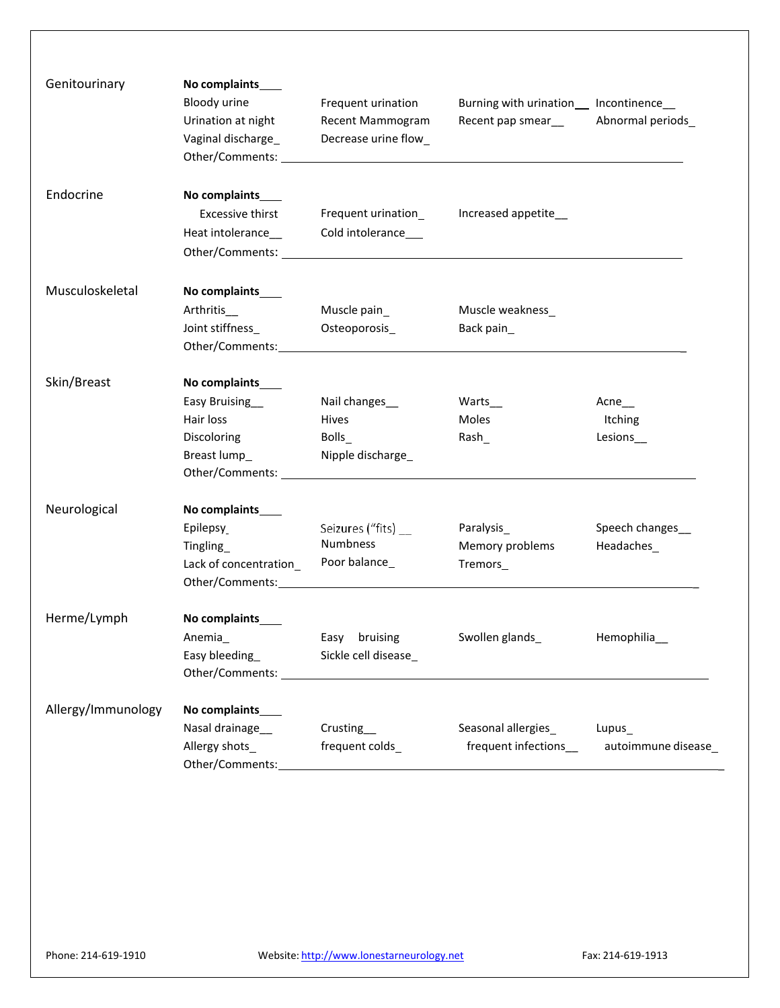| Genitourinary      | No complaints____<br>Bloody urine<br>Urination at night<br>Vaginal discharge                      | Frequent urination<br>Recent Mammogram<br>Decrease urine flow_                                                                                                                                                                                                                        | Burning with urination_ Incontinence_<br>Recent pap smear__ | Abnormal periods_                   |
|--------------------|---------------------------------------------------------------------------------------------------|---------------------------------------------------------------------------------------------------------------------------------------------------------------------------------------------------------------------------------------------------------------------------------------|-------------------------------------------------------------|-------------------------------------|
| Endocrine          | No complaints____<br><b>Excessive thirst</b><br>Heat intolerance_____________Cold intolerance____ | Frequent urination                                                                                                                                                                                                                                                                    | Increased appetite_                                         |                                     |
| Musculoskeletal    | No complaints____<br>Arthritis<br>Joint stiffness_                                                | Muscle pain_<br>Osteoporosis_                                                                                                                                                                                                                                                         | Muscle weakness_<br>Back pain_                              |                                     |
| Skin/Breast        | No complaints____<br><b>Easy Bruising</b><br>Hair loss<br>Discoloring<br>Breast lump_             | Nail changes_<br>Hives<br>Bolls_<br>Nipple discharge<br>Other/Comments: University of the Comments of the Comments of the Comments of the Comments of the Comments of the Comments of the Comments of the Comments of the Comments of the Comments of the Comments of the Comments of | Warts<br>Moles<br>Rash                                      | Acne $_{--}$<br>Itching<br>Lesions_ |
| Neurological       | No complaints____<br>Epilepsy<br>Tingling<br>Lack of concentration_                               | Seizures ("fits) __<br><b>Numbness</b><br>Poor balance_<br>Other/Comments: National Action of the Comments:                                                                                                                                                                           | Paralysis_<br>Memory problems<br>Tremors_                   | Speech changes_<br>Headaches_       |
| Herme/Lymph        | No complaints____<br>Anemia_<br>Easy bleeding                                                     | Sickle cell disease_<br>Other/Comments: University of the Comments:                                                                                                                                                                                                                   | Easy bruising Swollen glands                                | Hemophilia__                        |
| Allergy/Immunology | No complaints____<br>Nasal drainage<br>Allergy shots_<br>Other/Comments:                          | Crusting__<br>frequent colds_                                                                                                                                                                                                                                                         | Seasonal allergies_ Lupus_<br>frequent infections__         | autoimmune disease                  |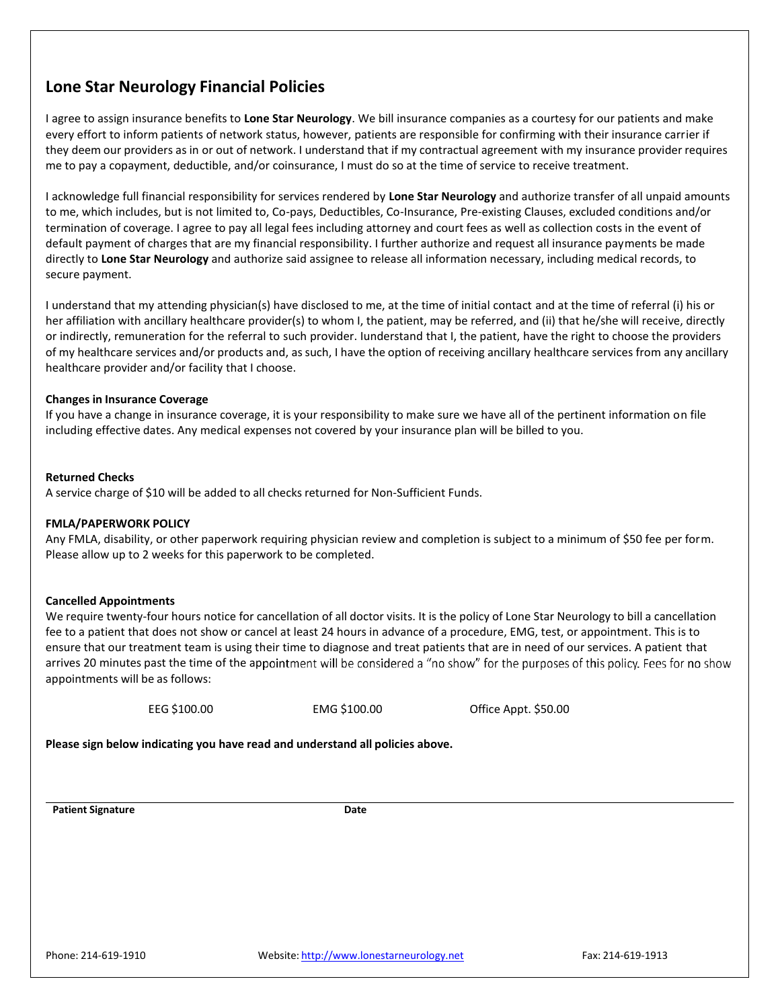## **Lone Star Neurology Financial Policies**

I agree to assign insurance benefits to **Lone Star Neurology**. We bill insurance companies as a courtesy for our patients and make every effort to inform patients of network status, however, patients are responsible for confirming with their insurance carrier if they deem our providers as in or out of network. I understand that if my contractual agreement with my insurance provider requires me to pay a copayment, deductible, and/or coinsurance, I must do so at the time of service to receive treatment.

I acknowledge full financial responsibility for services rendered by **Lone Star Neurology** and authorize transfer of all unpaid amounts to me, which includes, but is not limited to, Co-pays, Deductibles, Co-Insurance, Pre-existing Clauses, excluded conditions and/or termination of coverage. I agree to pay all legal fees including attorney and court fees as well as collection costs in the event of default payment of charges that are my financial responsibility. I further authorize and request all insurance payments be made directly to **Lone Star Neurology** and authorize said assignee to release all information necessary, including medical records, to secure payment.

I understand that my attending physician(s) have disclosed to me, at the time of initial contact and at the time of referral (i) his or her affiliation with ancillary healthcare provider(s) to whom I, the patient, may be referred, and (ii) that he/she will receive, directly or indirectly, remuneration for the referral to such provider. Iunderstand that I, the patient, have the right to choose the providers of my healthcare services and/or products and, as such, I have the option of receiving ancillary healthcare services from any ancillary healthcare provider and/or facility that I choose.

#### **Changes in Insurance Coverage**

If you have a change in insurance coverage, it is your responsibility to make sure we have all of the pertinent information on file including effective dates. Any medical expenses not covered by your insurance plan will be billed to you.

#### **Returned Checks**

A service charge of \$10 will be added to all checks returned for Non-Sufficient Funds.

#### **FMLA/PAPERWORK POLICY**

Any FMLA, disability, or other paperwork requiring physician review and completion is subject to a minimum of \$50 fee per form. Please allow up to 2 weeks for this paperwork to be completed.

#### **Cancelled Appointments**

We require twenty-four hours notice for cancellation of all doctor visits. It is the policy of Lone Star Neurology to bill a cancellation fee to a patient that does not show or cancel at least 24 hours in advance of a procedure, EMG, test, or appointment. This is to ensure that our treatment team is using their time to diagnose and treat patients that are in need of our services. A patient that arrives 20 minutes past the time of the appointment will be considered a "no show" for the purposes of this policy. Fees for no show appointments will be as follows:

EEG \$100.00 EMG \$100.00 Office Appt. \$50.00

**Please sign below indicating you have read and understand all policies above.**

**Patient Signature Date**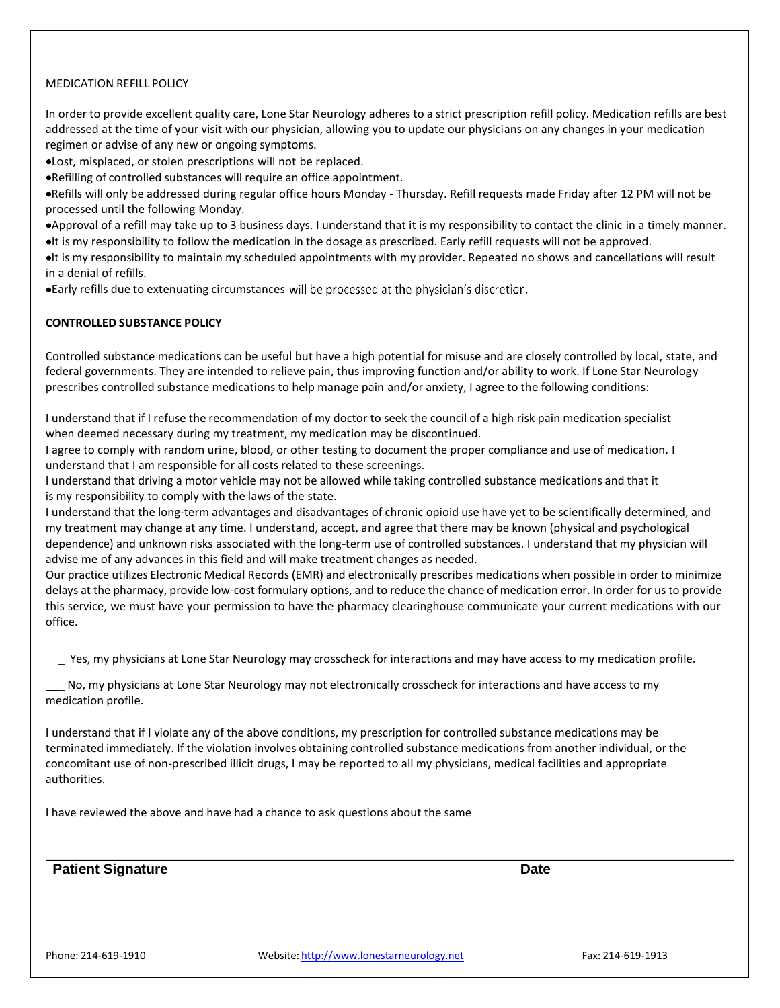#### MEDICATION REFILL POLICY

In order to provide excellent quality care, Lone Star Neurology adheres to a strict prescription refill policy. Medication refills are best addressed at the time of your visit with our physician, allowing you to update our physicians on any changes in your medication regimen or advise of any new or ongoing symptoms.

Lost, misplaced, or stolen prescriptions will not be replaced.

Refilling of controlled substances will require an office appointment.

Refills will only be addressed during regular office hours Monday - Thursday. Refill requests made Friday after 12 PM will not be processed until the following Monday.

Approval of a refill may take up to 3 business days. I understand that it is my responsibility to contact the clinic in a timely manner. It is my responsibility to follow the medication in the dosage as prescribed. Early refill requests will not be approved.

It is my responsibility to maintain my scheduled appointments with my provider. Repeated no shows and cancellations will result in a denial of refills.

. Early refills due to extenuating circumstances will be processed at the physician's discretion.

#### **CONTROLLED SUBSTANCE POLICY**

Controlled substance medications can be useful but have a high potential for misuse and are closely controlled by local, state, and federal governments. They are intended to relieve pain, thus improving function and/or ability to work. If Lone Star Neurology prescribes controlled substance medications to help manage pain and/or anxiety, I agree to the following conditions:

I understand that if I refuse the recommendation of my doctor to seek the council of a high risk pain medication specialist when deemed necessary during my treatment, my medication may be discontinued.

I agree to comply with random urine, blood, or other testing to document the proper compliance and use of medication. I understand that I am responsible for all costs related to these screenings.

I understand that driving a motor vehicle may not be allowed while taking controlled substance medications and that it is my responsibility to comply with the laws of the state.

I understand that the long-term advantages and disadvantages of chronic opioid use have yet to be scientifically determined, and my treatment may change at any time. I understand, accept, and agree that there may be known (physical and psychological dependence) and unknown risks associated with the long-term use of controlled substances. I understand that my physician will advise me of any advances in this field and will make treatment changes as needed.

Our practice utilizes Electronic Medical Records (EMR) and electronically prescribes medications when possible in order to minimize delays at the pharmacy, provide low-cost formulary options, and to reduce the chance of medication error. In order for us to provide this service, we must have your permission to have the pharmacy clearinghouse communicate your current medications with our office.

Yes, my physicians at Lone Star Neurology may crosscheck for interactions and may have access to my medication profile.

 \_ No, my physicians at Lone Star Neurology may not electronically crosscheck for interactions and have access to my medication profile.

I understand that if I violate any of the above conditions, my prescription for controlled substance medications may be terminated immediately. If the violation involves obtaining controlled substance medications from another individual, or the concomitant use of non-prescribed illicit drugs, I may be reported to all my physicians, medical facilities and appropriate authorities.

I have reviewed the above and have had a chance to ask questions about the same

**Patient Signature Date**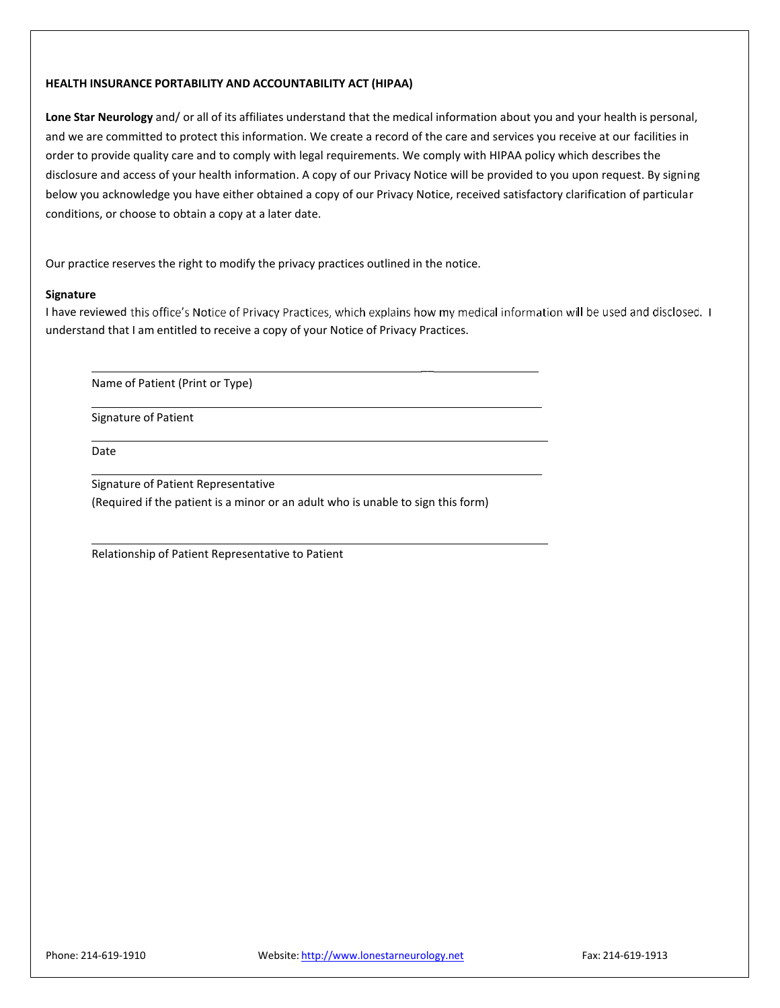#### **HEALTH INSURANCE PORTABILITY AND ACCOUNTABILITY ACT (HIPAA)**

**Lone Star Neurology** and/ or all of its affiliates understand that the medical information about you and your health is personal, and we are committed to protect this information. We create a record of the care and services you receive at our facilities in order to provide quality care and to comply with legal requirements. We comply with HIPAA policy which describes the disclosure and access of your health information. A copy of our Privacy Notice will be provided to you upon request. By signing below you acknowledge you have either obtained a copy of our Privacy Notice, received satisfactory clarification of particular conditions, or choose to obtain a copy at a later date.

Our practice reserves the right to modify the privacy practices outlined in the notice.

#### **Signature**

I have reviewed this office's Notice of Privacy Practices, which explains how my medical information will be used and disclosed. I understand that I am entitled to receive a copy of your Notice of Privacy Practices.

 $\overline{\phantom{0}}$ 

Name of Patient (Print or Type)

Signature of Patient

Date

Signature of Patient Representative (Required if the patient is a minor or an adult who is unable to sign this form)

Relationship of Patient Representative to Patient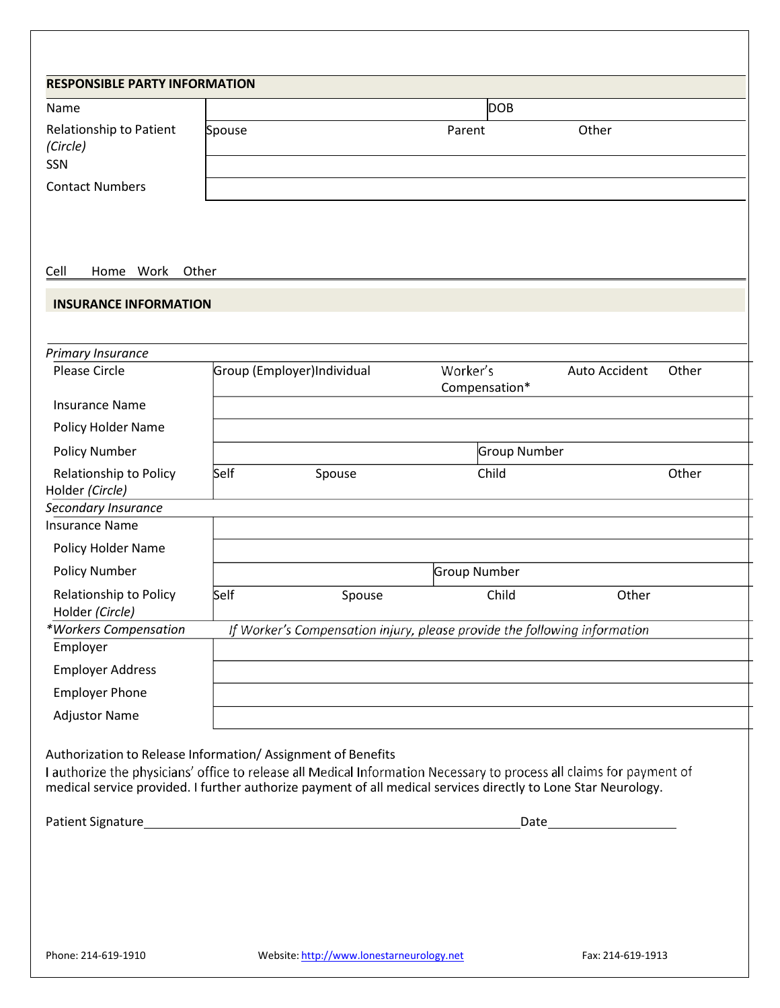| <b>DOB</b><br>Name<br>Other<br>Parent<br>Spouse<br>Work<br>Other<br>Home<br><b>INSURANCE INFORMATION</b><br>Worker's<br><b>Please Circle</b><br>Group (Employer)Individual<br>Auto Accident<br>Compensation*<br><b>Insurance Name</b><br>Policy Holder Name<br><b>Policy Number</b><br>Group Number<br>Self<br>Child<br>Other<br>Relationship to Policy<br>Spouse<br>Policy Holder Name<br><b>Policy Number</b><br>Group Number<br>Relationship to Policy<br>Child<br>Other<br>Self<br>Spouse<br>Holder (Circle)<br>If Worker's Compensation injury, please provide the following information<br>Employer<br><b>Employer Address</b><br><b>Employer Phone</b><br><b>Adjustor Name</b> | <b>RESPONSIBLE PARTY INFORMATION</b> |  |  |       |
|---------------------------------------------------------------------------------------------------------------------------------------------------------------------------------------------------------------------------------------------------------------------------------------------------------------------------------------------------------------------------------------------------------------------------------------------------------------------------------------------------------------------------------------------------------------------------------------------------------------------------------------------------------------------------------------|--------------------------------------|--|--|-------|
| Relationship to Patient<br>(Circle)<br>SSN<br><b>Contact Numbers</b><br>Cell<br>Primary Insurance<br>Holder (Circle)<br>Secondary Insurance<br><b>Insurance Name</b><br>*Workers Compensation<br>Authorization to Release Information/ Assignment of Benefits                                                                                                                                                                                                                                                                                                                                                                                                                         |                                      |  |  |       |
|                                                                                                                                                                                                                                                                                                                                                                                                                                                                                                                                                                                                                                                                                       |                                      |  |  |       |
|                                                                                                                                                                                                                                                                                                                                                                                                                                                                                                                                                                                                                                                                                       |                                      |  |  |       |
|                                                                                                                                                                                                                                                                                                                                                                                                                                                                                                                                                                                                                                                                                       |                                      |  |  |       |
|                                                                                                                                                                                                                                                                                                                                                                                                                                                                                                                                                                                                                                                                                       |                                      |  |  |       |
|                                                                                                                                                                                                                                                                                                                                                                                                                                                                                                                                                                                                                                                                                       |                                      |  |  |       |
|                                                                                                                                                                                                                                                                                                                                                                                                                                                                                                                                                                                                                                                                                       |                                      |  |  | Other |
|                                                                                                                                                                                                                                                                                                                                                                                                                                                                                                                                                                                                                                                                                       |                                      |  |  |       |
|                                                                                                                                                                                                                                                                                                                                                                                                                                                                                                                                                                                                                                                                                       |                                      |  |  |       |
|                                                                                                                                                                                                                                                                                                                                                                                                                                                                                                                                                                                                                                                                                       |                                      |  |  |       |
|                                                                                                                                                                                                                                                                                                                                                                                                                                                                                                                                                                                                                                                                                       |                                      |  |  |       |
|                                                                                                                                                                                                                                                                                                                                                                                                                                                                                                                                                                                                                                                                                       |                                      |  |  |       |
|                                                                                                                                                                                                                                                                                                                                                                                                                                                                                                                                                                                                                                                                                       |                                      |  |  |       |
|                                                                                                                                                                                                                                                                                                                                                                                                                                                                                                                                                                                                                                                                                       |                                      |  |  |       |
|                                                                                                                                                                                                                                                                                                                                                                                                                                                                                                                                                                                                                                                                                       |                                      |  |  |       |
|                                                                                                                                                                                                                                                                                                                                                                                                                                                                                                                                                                                                                                                                                       |                                      |  |  |       |
|                                                                                                                                                                                                                                                                                                                                                                                                                                                                                                                                                                                                                                                                                       |                                      |  |  |       |
|                                                                                                                                                                                                                                                                                                                                                                                                                                                                                                                                                                                                                                                                                       |                                      |  |  |       |
|                                                                                                                                                                                                                                                                                                                                                                                                                                                                                                                                                                                                                                                                                       |                                      |  |  |       |
|                                                                                                                                                                                                                                                                                                                                                                                                                                                                                                                                                                                                                                                                                       |                                      |  |  |       |
|                                                                                                                                                                                                                                                                                                                                                                                                                                                                                                                                                                                                                                                                                       |                                      |  |  |       |
| I authorize the physicians' office to release all Medical Information Necessary to process all claims for payment of<br>medical service provided. I further authorize payment of all medical services directly to Lone Star Neurology.                                                                                                                                                                                                                                                                                                                                                                                                                                                |                                      |  |  |       |
|                                                                                                                                                                                                                                                                                                                                                                                                                                                                                                                                                                                                                                                                                       |                                      |  |  |       |
|                                                                                                                                                                                                                                                                                                                                                                                                                                                                                                                                                                                                                                                                                       |                                      |  |  |       |